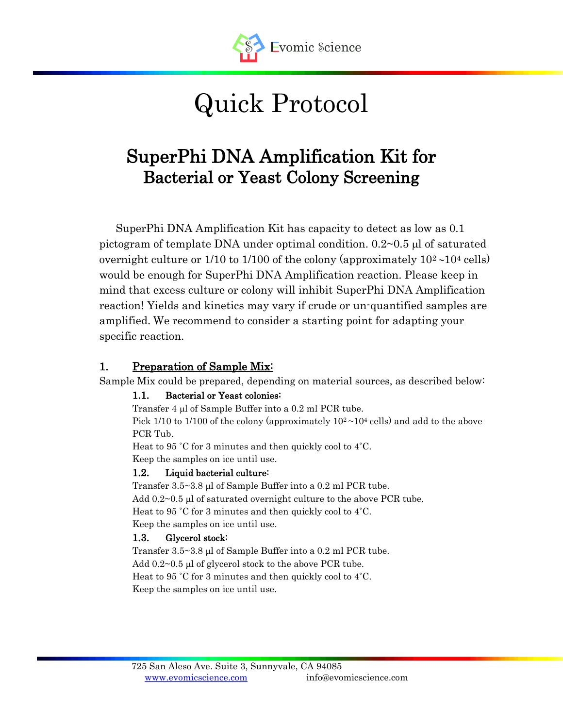

# Quick Protocol

# SuperPhi DNA Amplification Kit for Bacterial or Yeast Colony Screening

SuperPhi DNA Amplification Kit has capacity to detect as low as 0.1 pictogram of template DNA under optimal condition.  $0.2 \sim 0.5$  µ of saturated overnight culture or  $1/10$  to  $1/100$  of the colony (approximately  $10<sup>2</sup>$   $\sim$  10<sup>4</sup> cells) would be enough for SuperPhi DNA Amplification reaction. Please keep in mind that excess culture or colony will inhibit SuperPhi DNA Amplification reaction! Yields and kinetics may vary if crude or un-quantified samples are amplified. We recommend to consider a starting point for adapting your specific reaction.

#### 1. Preparation of Sample Mix-

Sample Mix could be prepared, depending on material sources, as described below:

#### 1.1. Bacterial or Yeast colonies:

Transfer 4 µl of Sample Buffer into a 0.2 ml PCR tube. Pick 1/10 to 1/100 of the colony (approximately  $10^2 \sim 10^4$  cells) and add to the above PCR Tub.

Heat to 95 ˚C for 3 minutes and then quickly cool to 4˚C.

Keep the samples on ice until use.

#### 1.2. Liquid bacterial culture:

Transfer  $3.5 \sim 3.8$  µl of Sample Buffer into a 0.2 ml PCR tube. Add  $0.2\negthinspace\sim0.5$  µl of saturated overnight culture to the above PCR tube. Heat to 95 ˚C for 3 minutes and then quickly cool to 4˚C. Keep the samples on ice until use.

## 1.3. Glycerol stock:

Transfer  $3.5 \sim 3.8$  µl of Sample Buffer into a 0.2 ml PCR tube. Add  $0.2~0.5$  µl of glycerol stock to the above PCR tube. Heat to 95 ˚C for 3 minutes and then quickly cool to 4˚C. Keep the samples on ice until use.